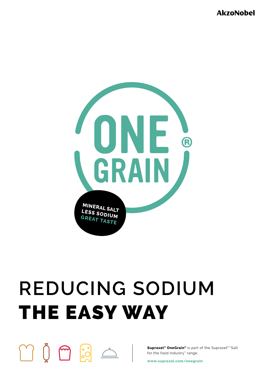**AkzoNobel** 



# **REDUCING SODIUM**  THE EASY WAY

 $\begin{smallmatrix} 0 & \mathbf{\Theta} & \mathbf{\Theta} \end{smallmatrix}$ 

**Suprasel® OneGrain®** is part of the Suprasel® "Salt for the food industry" range.

**www.suprasel.com/onegrain**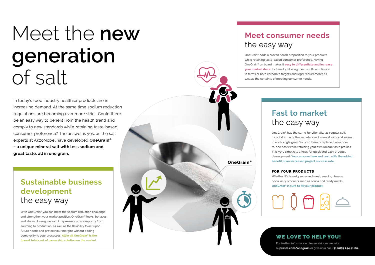## Meet the **new generation**  of salt

In today's food industry healthier products are in increasing demand. At the same time sodium reduction regulations are becoming ever more strict. Could there be an easy way to benefit from the health trend and comply to new standards while retaining taste-based consumer preference? The answer is yes, as the salt experts at AkzoNobel have developed **OneGrain® − a unique mineral salt with less sodium and great taste, all in one grain.**

### **Sustainable business development** the easy way

With OneGrain® you can meet the sodium reduction challenge and strengthen your market position. OneGrain® looks, behaves and stores like regular salt. It represents utter simplicity from sourcing to production, as well as the flexibility to act upon future needs and protect your margins without adding complexity to your processes. **All in all OneGrain® is the lowest total cost of ownership solution on the market.**

## **Meet consumer needs**  the easy way

OneGrain® adds a proven health proposition to your products while retaining taste-based consumer preference. Having OneGrain® on board makes it **easy to differentiate and increase your market share.** Its friendly labeling means full compliance in terms of both corporate targets and legal requirements as well as the certainty of meeting consumer needs.

## **Fast to market** the easy way

OneGrain® has the same functionality as regular salt. It contains the optimum balance of mineral salts and aroma in each single grain. You can literally replace it on a oneto-one basis while retaining your own unique taste profiles. This very simplicity allows for quick and easy product development. **You can save time and cost, with the added benefit of an increased project success rate.** 

#### **FOr yOur prOductS**

**OneGrain®**

Whether it's bread, processed meat, snacks, cheese, or culinary products such as soups and ready meals. **OneGrain® is sure to fit your product.**

#### WE LOVE TO HELP YOU!

For further information please visit our website **suprasel.com/onegrain** or give us a call **+31 (0)74 244 41 80.**